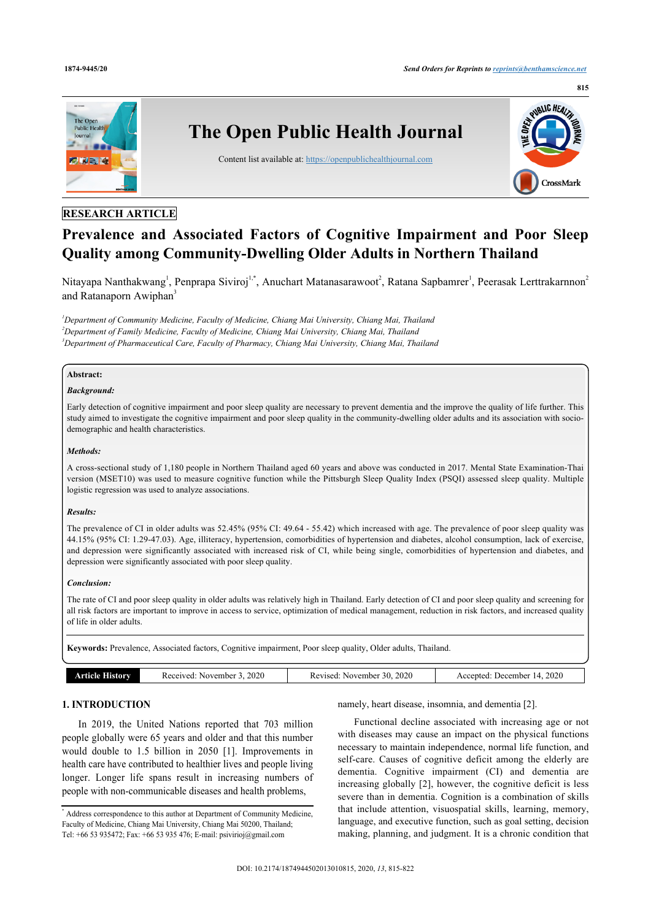

# **RESEARCH ARTICLE**

# **Prevalence and Associated Factors of Cognitive Impairment and Poor Sleep Quality among Community-Dwelling Older Adults in Northern Thailand**

Nitayapa Nanthakwang<sup>[1](#page-0-0)</sup>, Penprapa Siviroj<sup>1,[\\*](#page-0-1)</sup>, Anuchart Matanasarawoot<sup>[2](#page-0-2)</sup>, Ratana Sapbamrer<sup>1</sup>, Peerasak Lerttrakarnnon<sup>2</sup> and Ratanaporn Awiphan<sup>[3](#page-0-3)</sup>

<span id="page-0-3"></span><span id="page-0-2"></span><span id="page-0-0"></span>*<sup>1</sup>Department of Community Medicine, Faculty of Medicine, Chiang Mai University, Chiang Mai, Thailand <sup>2</sup>Department of Family Medicine, Faculty of Medicine, Chiang Mai University, Chiang Mai, Thailand <sup>3</sup>Department of Pharmaceutical Care, Faculty of Pharmacy, Chiang Mai University, Chiang Mai, Thailand*

# **Abstract:**

# *Background:*

Early detection of cognitive impairment and poor sleep quality are necessary to prevent dementia and the improve the quality of life further. This study aimed to investigate the cognitive impairment and poor sleep quality in the community-dwelling older adults and its association with sociodemographic and health characteristics.

# *Methods:*

A cross-sectional study of 1,180 people in Northern Thailand aged 60 years and above was conducted in 2017. Mental State Examination-Thai version (MSET10) was used to measure cognitive function while the Pittsburgh Sleep Quality Index (PSQI) assessed sleep quality. Multiple logistic regression was used to analyze associations.

#### *Results:*

The prevalence of CI in older adults was 52.45% (95% CI: 49.64 - 55.42) which increased with age. The prevalence of poor sleep quality was 44.15% (95% CI: 1.29-47.03). Age, illiteracy, hypertension, comorbidities of hypertension and diabetes, alcohol consumption, lack of exercise, and depression were significantly associated with increased risk of CI, while being single, comorbidities of hypertension and diabetes, and depression were significantly associated with poor sleep quality.

#### *Conclusion:*

The rate of CI and poor sleep quality in older adults was relatively high in Thailand. Early detection of CI and poor sleep quality and screening for all risk factors are important to improve in access to service, optimization of medical management, reduction in risk factors, and increased quality of life in older adults.

**Keywords:** Prevalence, Associated factors, Cognitive impairment, Poor sleep quality, Older adults, Thailand.

| 2020<br>2020<br>2020<br>November<br>December ،<br>istorv<br>Received<br>0.0.01<br>November<br>.evised<br>ented<br>ICIA<br>. |  |  |
|-----------------------------------------------------------------------------------------------------------------------------|--|--|
|                                                                                                                             |  |  |

# **1. INTRODUCTION**

In 2019, the United Nations reported that 703 million people globally were 65 years and older and that this number would double to 1.5 billion in 2050 [\[1\]](#page-6-0). Improvements in health care have contributed to healthier lives and people living longer. Longer life spans result in increasing numbers of people with non-communicable diseases and health problems,

namely, heart disease, insomnia, and dementia [[2](#page-6-1)].

Functional decline associated with increasing age or not with diseases may cause an impact on the physical functions necessary to maintain independence, normal life function, and self-care. Causes of cognitive deficit among the elderly are dementia. Cognitive impairment (CI) and dementia are increasing globally [[2](#page-6-1)], however, the cognitive deficit is less severe than in dementia. Cognition is a combination of skills that include attention, visuospatial skills, learning, memory, language, and executive function, such as goal setting, decision making, planning, and judgment. It is a chronic condition that

<span id="page-0-1"></span><sup>\*</sup> Address correspondence to this author at Department of Community Medicine, Faculty of Medicine, Chiang Mai University, Chiang Mai 50200, Thailand; Tel: +66 53 935472; Fax: +66 53 935 476; E-mail: [psivirioj@gmail.com](mailto:psivirioj@gmail.com)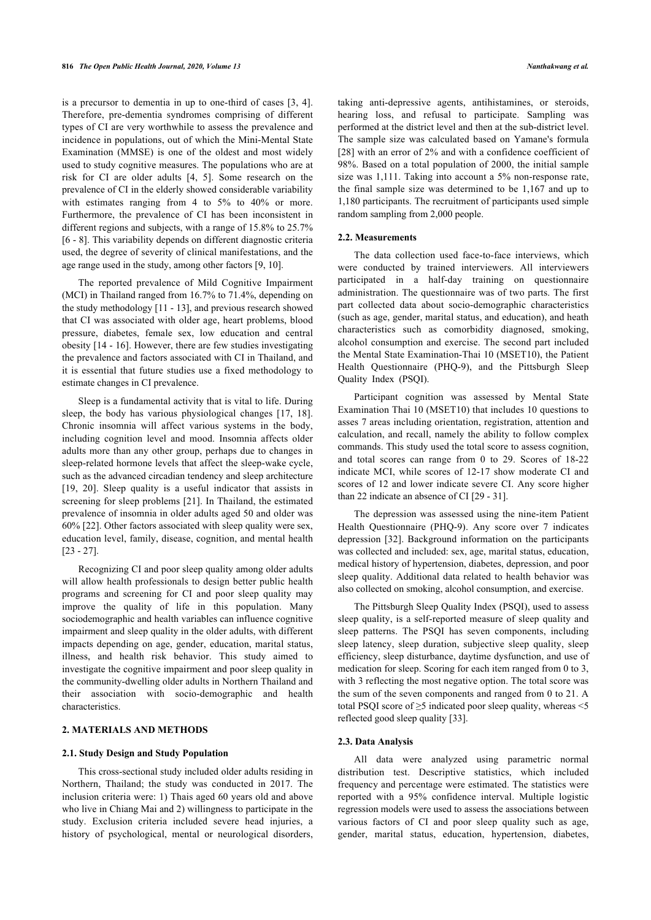is a precursor to dementia in up to one-third of cases [\[3,](#page-6-2) [4\]](#page-6-3). Therefore, pre-dementia syndromes comprising of different types of CI are very worthwhile to assess the prevalence and incidence in populations, out of which the Mini-Mental State Examination (MMSE) is one of the oldest and most widely used to study cognitive measures. The populations who are at risk for CI are older adults[[4,](#page-6-3) [5](#page-6-4)]. Some research on the prevalence of CI in the elderly showed considerable variability with estimates ranging from 4 to 5% to 40% or more. Furthermore, the prevalence of CI has been inconsistent in different regions and subjects, with a range of 15.8% to 25.7% [[6](#page-6-5) - [8\]](#page-6-6). This variability depends on different diagnostic criteria used, the degree of severity of clinical manifestations, and the age range used in the study, among other factors [\[9,](#page-6-7) [10](#page-6-8)].

The reported prevalence of Mild Cognitive Impairment (MCI) in Thailand ranged from 16.7% to 71.4%, depending on the study methodology [[11](#page-6-9) - [13](#page-6-10)], and previous research showed that CI was associated with older age, heart problems, blood pressure, diabetes, female sex, low education and central obesity [[14](#page-6-11) - [16\]](#page-6-12). However, there are few studies investigating the prevalence and factors associated with CI in Thailand, and it is essential that future studies use a fixed methodology to estimate changes in CI prevalence.

Sleep is a fundamental activity that is vital to life. During sleep, the body has various physiological changes [\[17,](#page-6-13) [18\]](#page-6-14). Chronic insomnia will affect various systems in the body, including cognition level and mood. Insomnia affects older adults more than any other group, perhaps due to changes in sleep-related hormone levels that affect the sleep-wake cycle, such as the advanced circadian tendency and sleep architecture [[19,](#page-6-15) [20\]](#page-6-16). Sleep quality is a useful indicator that assists in screening for sleep problems [[21\]](#page-6-17). In Thailand, the estimated prevalence of insomnia in older adults aged 50 and older was 60% [[22\]](#page-6-18). Other factors associated with sleep quality were sex, education level, family, disease, cognition, and mental health [[23](#page-6-19) - [27](#page-6-20)].

Recognizing CI and poor sleep quality among older adults will allow health professionals to design better public health programs and screening for CI and poor sleep quality may improve the quality of life in this population. Many sociodemographic and health variables can influence cognitive impairment and sleep quality in the older adults, with different impacts depending on age, gender, education, marital status, illness, and health risk behavior. This study aimed to investigate the cognitive impairment and poor sleep quality in the community-dwelling older adults in Northern Thailand and their association with socio-demographic and health characteristics.

# **2. MATERIALS AND METHODS**

#### **2.1. Study Design and Study Population**

This cross-sectional study included older adults residing in Northern, Thailand; the study was conducted in 2017. The inclusion criteria were: 1) Thais aged 60 years old and above who live in Chiang Mai and 2) willingness to participate in the study. Exclusion criteria included severe head injuries, a history of psychological, mental or neurological disorders,

taking anti-depressive agents, antihistamines, or steroids, hearing loss, and refusal to participate. Sampling was performed at the district level and then at the sub-district level. The sample size was calculated based on Yamane's formula [[28](#page-6-21)] with an error of 2% and with a confidence coefficient of 98%. Based on a total population of 2000, the initial sample size was 1,111. Taking into account a 5% non-response rate, the final sample size was determined to be 1,167 and up to 1,180 participants. The recruitment of participants used simple random sampling from 2,000 people.

#### **2.2. Measurements**

The data collection used face-to-face interviews, which were conducted by trained interviewers. All interviewers participated in a half-day training on questionnaire administration. The questionnaire was of two parts. The first part collected data about socio-demographic characteristics (such as age, gender, marital status, and education), and heath characteristics such as comorbidity diagnosed, smoking, alcohol consumption and exercise. The second part included the Mental State Examination-Thai 10 (MSET10), the Patient Health Questionnaire (PHQ-9), and the Pittsburgh Sleep Quality Index (PSQI).

Participant cognition was assessed by Mental State Examination Thai 10 (MSET10) that includes 10 questions to asses 7 areas including orientation, registration, attention and calculation, and recall, namely the ability to follow complex commands. This study used the total score to assess cognition, and total scores can range from 0 to 29. Scores of 18-22 indicate MCI, while scores of 12-17 show moderate CI and scores of 12 and lower indicate severe CI. Any score higher than 22 indicate an absence of CI [29 - 31].

The depression was assessed using the nine-item Patient Health Questionnaire (PHQ-9). Any score over 7 indicates depression [[32](#page-6-22)]. Background information on the participants was collected and included: sex, age, marital status, education, medical history of hypertension, diabetes, depression, and poor sleep quality. Additional data related to health behavior was also collected on smoking, alcohol consumption, and exercise.

The Pittsburgh Sleep Quality Index (PSQI), used to assess sleep quality, is a self-reported measure of sleep quality and sleep patterns. The PSQI has seven components, including sleep latency, sleep duration, subjective sleep quality, sleep efficiency, sleep disturbance, daytime dysfunction, and use of medication for sleep. Scoring for each item ranged from 0 to 3, with 3 reflecting the most negative option. The total score was the sum of the seven components and ranged from 0 to 21. A total PSQI score of  $\geq$ 5 indicated poor sleep quality, whereas <5 reflected good sleep quality [[33\]](#page-6-23).

#### **2.3. Data Analysis**

All data were analyzed using parametric normal distribution test. Descriptive statistics, which included frequency and percentage were estimated. The statistics were reported with a 95% confidence interval. Multiple logistic regression models were used to assess the associations between various factors of CI and poor sleep quality such as age, gender, marital status, education, hypertension, diabetes,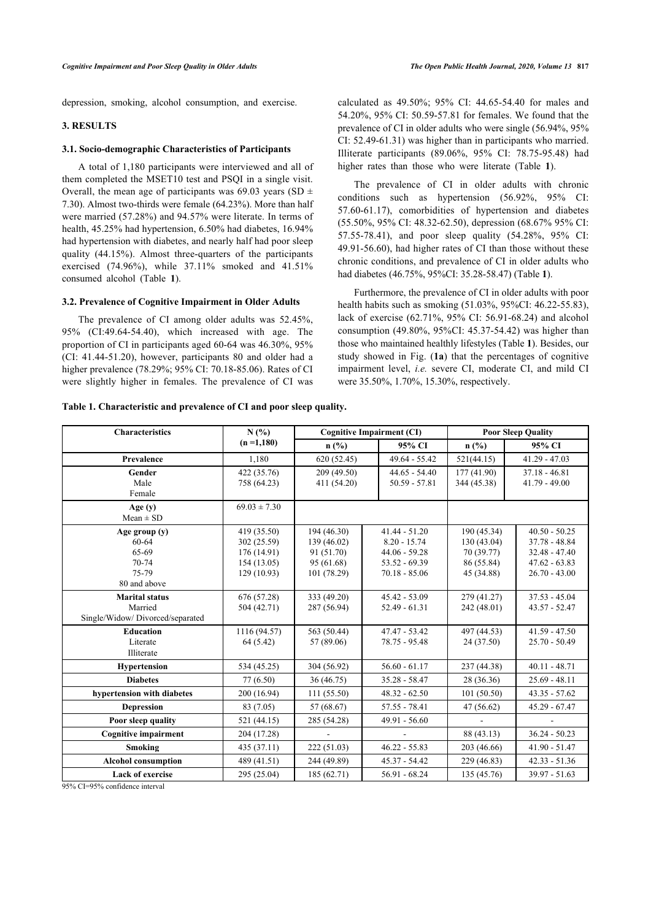depression, smoking, alcohol consumption, and exercise.

# **3. RESULTS**

#### **3.1. Socio-demographic Characteristics of Participants**

A total of 1,180 participants were interviewed and all of them completed the MSET10 test and PSQI in a single visit. Overall, the mean age of participants was 69.03 years (SD  $\pm$ 7.30). Almost two-thirds were female (64.23%). More than half were married (57.28%) and 94.57% were literate. In terms of health, 45.25% had hypertension, 6.50% had diabetes, 16.94% had hypertension with diabetes, and nearly half had poor sleep quality (44.15%). Almost three-quarters of the participants exercised (74.96%), while 37.11% smoked and 41.51% consumed alcohol (Table**1**).

#### **3.2. Prevalence of Cognitive Impairment in Older Adults**

The prevalence of CI among older adults was 52.45%, 95% (CI:49.64-54.40), which increased with age. The proportion of CI in participants aged 60-64 was 46.30%, 95% (CI: 41.44-51.20), however, participants 80 and older had a higher prevalence (78.29%; 95% CI: 70.18-85.06). Rates of CI were slightly higher in females. The prevalence of CI was calculated as 49.50%; 95% CI: 44.65-54.40 for males and 54.20%, 95% CI: 50.59-57.81 for females. We found that the prevalence of CI in older adults who were single (56.94%, 95% CI: 52.49-61.31) was higher than in participants who married. Illiterate participants (89.06%, 95% CI: 78.75-95.48) had higher rates than those who were literate (Table**1**).

The prevalence of CI in older adults with chronic conditions such as hypertension (56.92%, 95% CI: 57.60-61.17), comorbidities of hypertension and diabetes (55.50%, 95% CI: 48.32-62.50), depression (68.67% 95% CI: 57.55-78.41), and poor sleep quality (54.28%, 95% CI: 49.91-56.60), had higher rates of CI than those without these chronic conditions, and prevalence of CI in older adults who had diabetes (46.75%, 95%CI: 35.28-58.47) (Table **[1](#page-2-0)**).

Furthermore, the prevalence of CI in older adults with poor health habits such as smoking (51.03%, 95%CI: 46.22-55.83), lack of exercise (62.71%, 95% CI: 56.91-68.24) and alcohol consumption (49.80%, 95%CI: 45.37-54.42) [wa](#page-2-0)s higher than those who maintained h[ealt](#page-2-1)hly lifestyles (Table **1**). Besides, our study showed in Fig. (**1a**) that the percentages of cognitive impairment level, *i.e.* severe CI, moderate CI, and mild CI were 35.50%, 1.70%, 15.30%, respectively.

| <b>Characteristics</b>                                                | N(%)                                                                 |                                                                       | <b>Cognitive Impairment (CI)</b>                                                           | <b>Poor Sleep Quality</b>                                            |                                                                                             |  |
|-----------------------------------------------------------------------|----------------------------------------------------------------------|-----------------------------------------------------------------------|--------------------------------------------------------------------------------------------|----------------------------------------------------------------------|---------------------------------------------------------------------------------------------|--|
|                                                                       | $(n=1,180)$                                                          | $n$ (%)                                                               | 95% CI                                                                                     | $n$ (%)                                                              | 95% CI                                                                                      |  |
| Prevalence                                                            | 1.180                                                                | 620(52.45)                                                            | $49.64 - 55.42$                                                                            | 521(44.15)                                                           | $41.29 - 47.03$                                                                             |  |
| Gender<br>Male<br>Female                                              | 422 (35.76)<br>758 (64.23)                                           | 209 (49.50)<br>411 (54.20)                                            | $44.65 - 54.40$<br>$50.59 - 57.81$                                                         | 177(41.90)<br>344 (45.38)                                            | $37.18 - 46.81$<br>$41.79 - 49.00$                                                          |  |
| Age $(y)$<br>$Mean \pm SD$                                            | $69.03 \pm 7.30$                                                     |                                                                       |                                                                                            |                                                                      |                                                                                             |  |
| Age group (y)<br>$60 - 64$<br>65-69<br>70-74<br>75-79<br>80 and above | 419 (35.50)<br>302 (25.59)<br>176(14.91)<br>154(13.05)<br>129(10.93) | 194 (46.30)<br>139 (46.02)<br>91 (51.70)<br>95 (61.68)<br>101 (78.29) | $41.44 - 51.20$<br>$8.20 - 15.74$<br>$44.06 - 59.28$<br>$53.52 - 69.39$<br>$70.18 - 85.06$ | 190 (45.34)<br>130 (43.04)<br>70 (39.77)<br>86 (55.84)<br>45 (34.88) | $40.50 - 50.25$<br>$37.78 - 48.84$<br>$32.48 - 47.40$<br>$47.62 - 63.83$<br>$26.70 - 43.00$ |  |
| <b>Marital status</b><br>Married<br>Single/Widow/Divorced/separated   | 676 (57.28)<br>504 (42.71)                                           | 333 (49.20)<br>287 (56.94)                                            | $45.42 - 53.09$<br>$52.49 - 61.31$                                                         | 279 (41.27)<br>242 (48.01)                                           | $37.53 - 45.04$<br>$43.57 - 52.47$                                                          |  |
| <b>Education</b><br>Literate<br>Illiterate                            | 1116 (94.57)<br>64 (5.42)                                            | 563 (50.44)<br>57 (89.06)                                             | $47.47 - 53.42$<br>78.75 - 95.48                                                           | 497 (44.53)<br>24 (37.50)                                            | $41.59 - 47.50$<br>$25.70 - 50.49$                                                          |  |
| <b>Hypertension</b>                                                   | 534 (45.25)                                                          | 304 (56.92)                                                           | $56.60 - 61.17$                                                                            | 237 (44.38)                                                          | $40.11 - 48.71$                                                                             |  |
| <b>Diabetes</b>                                                       | 77 (6.50)                                                            | 36 (46.75)                                                            | $35.28 - 58.47$                                                                            | 28 (36.36)                                                           | $25.69 - 48.11$                                                                             |  |
| hypertension with diabetes                                            | 200 (16.94)                                                          | 111 (55.50)                                                           | $48.32 - 62.50$                                                                            | 101(50.50)                                                           | $43.35 - 57.62$                                                                             |  |
| <b>Depression</b>                                                     | 83 (7.05)                                                            | 57 (68.67)                                                            | $57.55 - 78.41$                                                                            | 47 (56.62)                                                           | $45.29 - 67.47$                                                                             |  |
| Poor sleep quality                                                    | 521 (44.15)                                                          | 285 (54.28)                                                           | $49.91 - 56.60$                                                                            |                                                                      |                                                                                             |  |
| <b>Cognitive impairment</b>                                           | 204 (17.28)                                                          |                                                                       |                                                                                            | 88 (43.13)                                                           | $36.24 - 50.23$                                                                             |  |
| Smoking                                                               | 435 (37.11)                                                          | 222(51.03)                                                            | $46.22 - 55.83$                                                                            | 203 (46.66)                                                          | $41.90 - 51.47$                                                                             |  |
| <b>Alcohol consumption</b>                                            | 489 (41.51)                                                          | 244 (49.89)                                                           | $45.37 - 54.42$                                                                            | 229 (46.83)                                                          | $42.33 - 51.36$                                                                             |  |
| <b>Lack of exercise</b>                                               | 295 (25.04)                                                          | 185 (62.71)                                                           | $56.91 - 68.24$                                                                            | 135 (45.76)                                                          | $39.97 - 51.63$                                                                             |  |

<span id="page-2-0"></span>**Table 1. Characteristic and prevalence of CI and poor sleep quality.**

<span id="page-2-1"></span>95% CI=95% confidence interval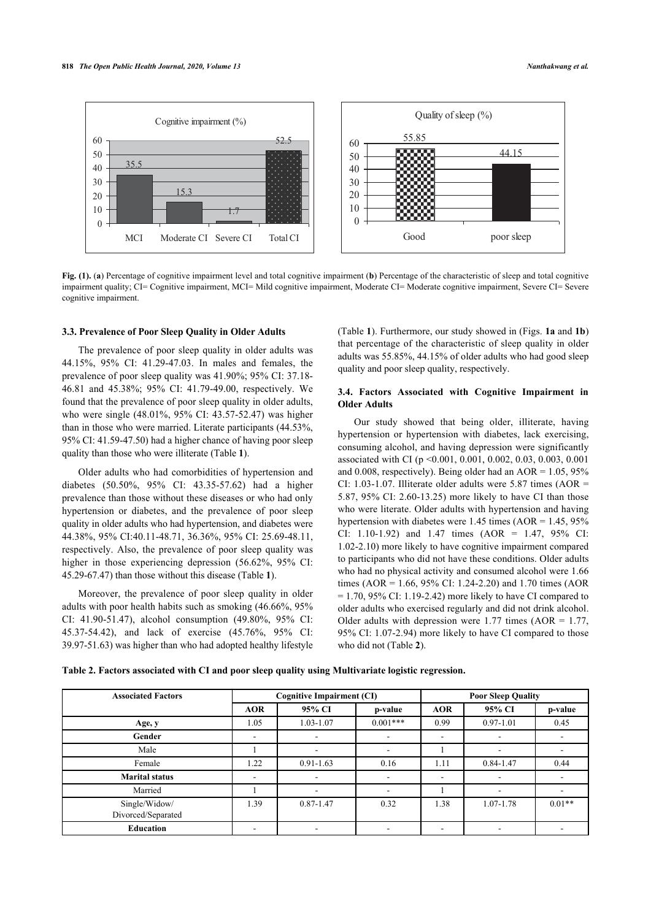



**Fig. (1).** (**a**) Percentage of cognitive impairment level and total cognitive impairment (**b**) Percentage of the characteristic of sleep and total cognitive impairment quality; CI= Cognitive impairment, MCI= Mild cognitive impairment, Moderate CI= Moderate cognitive impairment, Severe CI= Severe cognitive impairment.

# **3.3. Prevalence of Poor Sleep Quality in Older Adults**

The prevalence of poor sleep quality in older adults was 44.15%, 95% CI: 41.29-47.03. In males and females, the prevalence of poor sleep quality was 41.90%; 95% CI: 37.18- 46.81 and 45.38%; 95% CI: 41.79-49.00, respectively. We found that the prevalence of poor sleep quality in older adults, who were single (48.01%, 95% CI: 43.57-52.47) was higher than in those who were married. Literate participants (44.53%, 95% CI: 41.59-47.50) had a higher chance of having poor sleep quality than those who were illiterate (Table **[1](#page-2-0)**).

Older adults who had comorbidities of hypertension and diabetes (50.50%, 95% CI: 43.35-57.62) had a higher prevalence than those without these diseases or who had only hypertension or diabetes, and the prevalence of poor sleep quality in older adults who had hypertension, and diabetes were 44.38%, 95% CI:40.11-48.71, 36.36%, 95% CI: 25.69-48.11, respectively. Also, the prevalence of poor sleep quality was higher in those experiencing depression (56.62[%,](#page-2-0) 95% CI: 45.29-67.47) than those without this disease (Table **1**).

Moreover, the prevalence of poor sleep quality in older adults with poor health habits such as smoking (46.66%, 95% CI: 41.90-51.47), alcohol consumption (49.80%, 95% CI: 45.37-54.42), and lack of exercise (45.76%, 95% CI: 39.97-51.63) was higher than who had adopted healthy lifestyle

(Table **[1](#page-2-0)**). Furthermore, our study showed in (Figs. **[1a](#page-2-1)** and **[1b](#page-2-1)**) that percentage of the characteristic of sleep quality in older adults was 55.85%, 44.15% of older adults who had good sleep quality and poor sleep quality, respectively.

# **3.4. Factors Associated with Cognitive Impairment in Older Adults**

Our study showed that being older, illiterate, having hypertension or hypertension with diabetes, lack exercising, consuming alcohol, and having depression were significantly associated with CI (p <0.001, 0.001, 0.002, 0.03, 0.003, 0.001 and 0.008, respectively). Being older had an AOR =  $1.05$ ,  $95\%$ CI: 1.03-1.07. Illiterate older adults were 5.87 times (AOR = 5.87, 95% CI: 2.60-13.25) more likely to have CI than those who were literate. Older adults with hypertension and having hypertension with diabetes were  $1.45$  times (AOR =  $1.45$ ,  $95\%$ ) CI: 1.10-1.92) and 1.47 times (AOR = 1.47, 95% CI: 1.02-2.10) more likely to have cognitive impairment compared to participants who did not have these conditions. Older adults who had no physical activity and consumed alcohol were 1.66 times (AOR = 1.66, 95% CI: 1.24-2.20) and 1.70 times (AOR  $= 1.70$ , 95% CI: 1.19-2.42) more likely to have CI compared to older adults who exercised regularly and did not drink alcohol. Older adults with depression were  $1.77$  times (AOR =  $1.77$ , 95% CI: 1.07-2.94) more likely to have CI compared to those who did not (Table **[2](#page-3-0)**).

<span id="page-3-0"></span>**Table 2. Factors associated with CI and poor sleep quality using Multivariate logistic regression.**

| <b>Associated Factors</b>           |            | <b>Cognitive Impairment (CI)</b> |                          |            | <b>Poor Sleep Quality</b> |          |  |
|-------------------------------------|------------|----------------------------------|--------------------------|------------|---------------------------|----------|--|
|                                     | <b>AOR</b> | 95% CI                           | p-value                  | <b>AOR</b> | 95% CI                    | p-value  |  |
| Age, y                              | 1.05       | 1.03-1.07                        | $0.001***$               | 0.99       | $0.97 - 1.01$             | 0.45     |  |
| Gender                              |            |                                  | $\overline{\phantom{a}}$ |            |                           |          |  |
| Male                                |            | $\overline{\phantom{a}}$         | -                        |            |                           |          |  |
| Female                              | 22         | $0.91 - 1.63$                    | 0.16                     | 1.11       | $0.84 - 1.47$             | 0.44     |  |
| <b>Marital status</b>               |            |                                  | $\overline{\phantom{a}}$ |            |                           |          |  |
| Married                             |            |                                  |                          |            |                           |          |  |
| Single/Widow/<br>Divorced/Separated | 1.39       | $0.87 - 1.47$                    | 0.32                     | 1.38       | 1.07-1.78                 | $0.01**$ |  |
| <b>Education</b>                    |            |                                  | ۰                        |            |                           |          |  |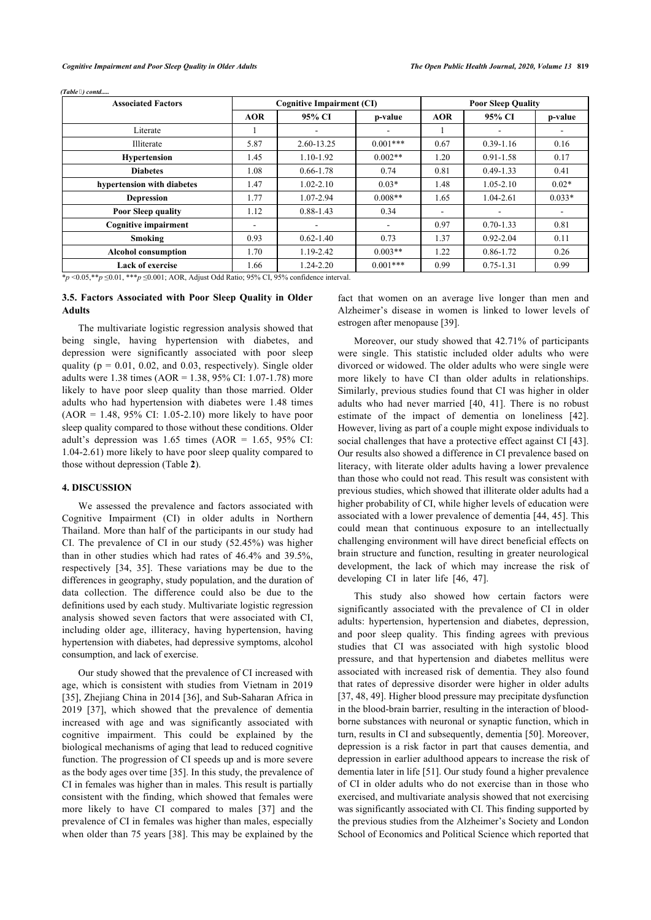| <b>Associated Factors</b>   |            | <b>Cognitive Impairment (CI)</b> |                          | <b>Poor Sleep Quality</b> |               |          |
|-----------------------------|------------|----------------------------------|--------------------------|---------------------------|---------------|----------|
|                             | <b>AOR</b> | 95% CI                           | p-value                  | <b>AOR</b>                | 95% CI        | p-value  |
| Literate                    |            |                                  |                          |                           |               |          |
| Illiterate                  | 5.87       | 2.60-13.25                       | $0.001***$               | 0.67                      | $0.39 - 1.16$ | 0.16     |
| <b>Hypertension</b>         | 1.45       | 1.10-1.92                        | $0.002**$                | 1.20                      | $0.91 - 1.58$ | 0.17     |
| <b>Diabetes</b>             | 1.08       | $0.66 - 1.78$                    | 0.74                     | 0.81                      | $0.49 - 1.33$ | 0.41     |
| hypertension with diabetes  | 1.47       | $1.02 - 2.10$                    | $0.03*$                  | 1.48                      | $1.05 - 2.10$ | $0.02*$  |
| <b>Depression</b>           | 1.77       | 1.07-2.94                        | $0.008**$                | 1.65                      | $1.04 - 2.61$ | $0.033*$ |
| <b>Poor Sleep quality</b>   | 1.12       | $0.88 - 1.43$                    | 0.34                     |                           |               |          |
| <b>Cognitive impairment</b> | ۰          |                                  | $\overline{\phantom{a}}$ | 0.97                      | $0.70 - 1.33$ | 0.81     |
| Smoking                     | 0.93       | $0.62 - 1.40$                    | 0.73                     | 1.37                      | $0.92 - 2.04$ | 0.11     |
| <b>Alcohol consumption</b>  | 1.70       | 1.19-2.42                        | $0.003**$                | 1.22                      | $0.86 - 1.72$ | 0.26     |
| <b>Lack of exercise</b>     | 1.66       | 1.24-2.20                        | $0.001***$               | 0.99                      | $0.75 - 1.31$ | 0.99     |
|                             |            |                                  |                          |                           |               |          |

*(Table ) contd.....*

\**p* <0.05,\*\**p* ≤0.01, \*\*\**p* ≤0.001; AOR, Adjust Odd Ratio; 95% CI, 95% confidence interval.

# **3.5. Factors Associated with Poor Sleep Quality in Older Adults**

The multivariate logistic regression analysis showed that being single, having hypertension with diabetes, and depression were significantly associated with poor sleep quality ( $p = 0.01$ , 0.02, and 0.03, respectively). Single older adults were 1.38 times (AOR = 1.38, 95% CI: 1.07-1.78) more likely to have poor sleep quality than those married. Older adults who had hypertension with diabetes were 1.48 times  $(AOR = 1.48, 95\% \text{ CI: } 1.05 - 2.10)$  more likely to have poor sleep quality compared to those without these conditions. Older adult's depression was  $1.65$  times (AOR =  $1.65$ , 95% CI: 1.04-2.61) more likely to have poor sleep quality compared to those without depression (Table **[2](#page-3-0)**).

#### **4. DISCUSSION**

We assessed the prevalence and factors associated with Cognitive Impairment (CI) in older adults in Northern Thailand. More than half of the participants in our study had CI. The prevalence of CI in our study (52.45%) was higher than in other studies which had rates of 46.4% and 39.5%, respectively[[34](#page-6-24), [35](#page-6-25)]. These variations may be due to the differences in geography, study population, and the duration of data collection. The difference could also be due to the definitions used by each study. Multivariate logistic regression analysis showed seven factors that were associated with CI, including older age, illiteracy, having hypertension, having hypertension with diabetes, had depressive symptoms, alcohol consumption, and lack of exercise.

Our study showed that the prevalence of CI increased with age, which is consistent with studies from Vietnam in 2019 [[35\]](#page-6-25), Zhejiang China in 2014 [[36\]](#page-6-26), and Sub-Saharan Africa in 2019[[37\]](#page-6-27), which showed that the prevalence of dementia increased with age and was significantly associated with cognitive impairment. This could be explained by the biological mechanisms of aging that lead to reduced cognitive function. The progression of CI speeds up and is more severe as the body ages over time [\[35](#page-6-25)]. In this study, the prevalence of CI in females was higher than in males. This result is partially consistent with the finding, which showed that females were more likely to have CI compared to males [\[37\]](#page-6-27) and the prevalence of CI in females was higher than males, especially when older than 75 years [\[38\]](#page-6-28). This may be explained by the

fact that women on an average live longer than men and Alzheimer's disease in women is linked to lower levels of estrogen after menopause [\[39](#page-6-29)].

Moreover, our study showed that 42.71% of participants were single. This statistic included older adults who were divorced or widowed. The older adults who were single were more likely to have CI than older adults in relationships. Similarly, previous studies found that CI was higher in older adults who had never married [\[40,](#page-7-0) [41](#page-7-1)]. There is no robust estimate of the impact of dementia on loneliness[[42](#page-7-2)]. However, living as part of a couple might expose individuals to social challenges that have a protective effect against CI [43]. Our results also showed a difference in CI prevalence based on literacy, with literate older adults having a lower prevalence than those who could not read. This result was consistent with previous studies, which showed that illiterate older adults had a higher probability of CI, while higher levels of education were associated with a lower prevalence of dementia [[44](#page-7-3), [45](#page-7-4)]. This could mean that continuous exposure to an intellectually challenging environment will have direct beneficial effects on brain structure and function, resulting in greater neurological development, the lack of which may increase the risk of developing CI in later life [\[46](#page-7-5), [47\]](#page-7-6).

This study also showed how certain factors were significantly associated with the prevalence of CI in older adults: hypertension, hypertension and diabetes, depression, and poor sleep quality. This finding agrees with previous studies that CI was associated with high systolic blood pressure, and that hypertension and diabetes mellitus were associated with increased risk of dementia. They also found that rates of depressive disorder were higher in older adults [[37,](#page-6-27) [48,](#page-7-7) [49](#page-7-8)]. Higher blood pressure may precipitate dysfunction in the blood-brain barrier, resulting in the interaction of bloodborne substances with neuronal or synaptic function, which in turn, results in CI and subsequently, dementia [\[50\]](#page-7-9). Moreover, depression is a risk factor in part that causes dementia, and depression in earlier adulthood appears to increase the risk of dementia later in life [[51\]](#page-7-10). Our study found a higher prevalence of CI in older adults who do not exercise than in those who exercised, and multivariate analysis showed that not exercising was significantly associated with CI. This finding supported by the previous studies from the Alzheimer's Society and London School of Economics and Political Science which reported that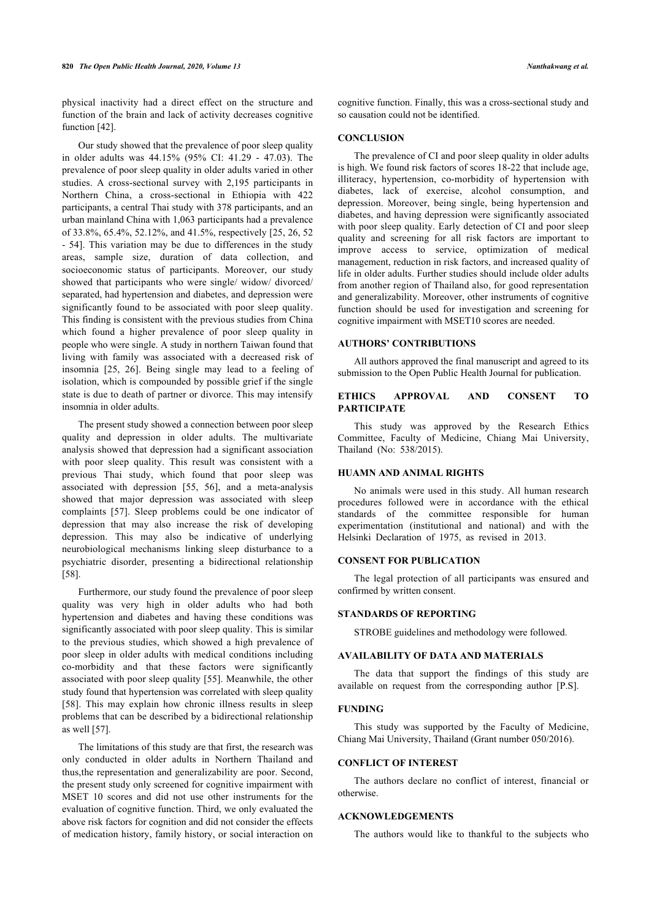physical inactivity had a direct effect on the structure and function of the brain and lack of activity decreases cognitive function [[42\]](#page-7-2).

Our study showed that the prevalence of poor sleep quality in older adults was 44.15% (95% CI: 41.29 - 47.03). The prevalence of poor sleep quality in older adults varied in other studies. A cross-sectional survey with 2,195 participants in Northern China, a cross-sectional in Ethiopia with 422 participants, a central Thai study with 378 participants, and an urban mainland China with 1,063 participants had a prevalence of 33.8%, 65.4%, 52.12%, and 41.5%, respectively [[25,](#page-6-30) [26,](#page-6-31) [52](#page-7-11) - [54](#page-7-3)]. This variation may be due to differences in the study areas, sample size, duration of data collection, and socioeconomic status of participants. Moreover, our study showed that participants who were single/ widow/ divorced/ separated, had hypertension and diabetes, and depression were significantly found to be associated with poor sleep quality. This finding is consistent with the previous studies from China which found a higher prevalence of poor sleep quality in people who were single. A study in northern Taiwan found that living with family was associated with a decreased risk of insomnia [\[25](#page-6-30), [26\]](#page-6-31). Being single may lead to a feeling of isolation, which is compounded by possible grief if the single state is due to death of partner or divorce. This may intensify insomnia in older adults.

The present study showed a connection between poor sleep quality and depression in older adults. The multivariate analysis showed that depression had a significant association with poor sleep quality. This result was consistent with a previous Thai study, which found that poor sleep was associated with depression[[55](#page-7-12), [56](#page-7-13)], and a meta-analysis showed that major depression was associated with sleep complaints [\[57\]](#page-7-14). Sleep problems could be one indicator of depression that may also increase the risk of developing depression. This may also be indicative of underlying neurobiological mechanisms linking sleep disturbance to a psychiatric disorder, presenting a bidirectional relationship [[58\]](#page-7-15).

Furthermore, our study found the prevalence of poor sleep quality was very high in older adults who had both hypertension and diabetes and having these conditions was significantly associated with poor sleep quality. This is similar to the previous studies, which showed a high prevalence of poor sleep in older adults with medical conditions including co-morbidity and that these factors were significantly associated with poor sleep quality [\[55\]](#page-7-12). Meanwhile, the other study found that hypertension was correlated with sleep quality [[58\]](#page-7-15). This may explain how chronic illness results in sleep problems that can be described by a bidirectional relationship as well [\[57](#page-7-14)].

The limitations of this study are that first, the research was only conducted in older adults in Northern Thailand and thus,the representation and generalizability are poor. Second, the present study only screened for cognitive impairment with MSET 10 scores and did not use other instruments for the evaluation of cognitive function. Third, we only evaluated the above risk factors for cognition and did not consider the effects of medication history, family history, or social interaction on cognitive function. Finally, this was a cross-sectional study and so causation could not be identified.

# **CONCLUSION**

The prevalence of CI and poor sleep quality in older adults is high. We found risk factors of scores 18-22 that include age, illiteracy, hypertension, co-morbidity of hypertension with diabetes, lack of exercise, alcohol consumption, and depression. Moreover, being single, being hypertension and diabetes, and having depression were significantly associated with poor sleep quality. Early detection of CI and poor sleep quality and screening for all risk factors are important to improve access to service, optimization of medical management, reduction in risk factors, and increased quality of life in older adults. Further studies should include older adults from another region of Thailand also, for good representation and generalizability. Moreover, other instruments of cognitive function should be used for investigation and screening for cognitive impairment with MSET10 scores are needed.

#### **AUTHORS' CONTRIBUTIONS**

All authors approved the final manuscript and agreed to its submission to the Open Public Health Journal for publication.

# **ETHICS APPROVAL AND CONSENT TO PARTICIPATE**

This study was approved by the Research Ethics Committee, Faculty of Medicine, Chiang Mai University, Thailand (No: 538/2015).

#### **HUAMN AND ANIMAL RIGHTS**

No animals were used in this study. All human research procedures followed were in accordance with the ethical standards of the committee responsible for human experimentation (institutional and national) and with the Helsinki Declaration of 1975, as revised in 2013.

# **CONSENT FOR PUBLICATION**

The legal protection of all participants was ensured and confirmed by written consent.

# **STANDARDS OF REPORTING**

STROBE guidelines and methodology were followed.

# **AVAILABILITY OF DATA AND MATERIALS**

The data that support the findings of this study are available on request from the corresponding author [P.S].

#### **FUNDING**

This study was supported by the Faculty of Medicine, Chiang Mai University, Thailand (Grant number 050/2016).

#### **CONFLICT OF INTEREST**

The authors declare no conflict of interest, financial or otherwise.

#### **ACKNOWLEDGEMENTS**

The authors would like to thankful to the subjects who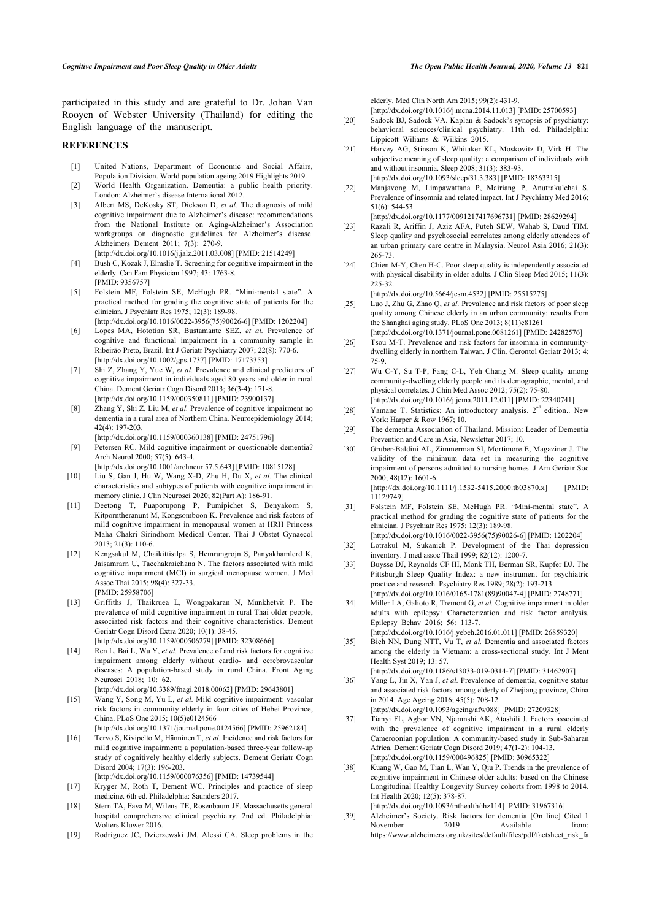<span id="page-6-16"></span>participated in this study and are grateful to Dr. Johan Van Rooyen of Webster University (Thailand) for editing the English language of the manuscript.

#### <span id="page-6-17"></span><span id="page-6-0"></span>**REFERENCES**

- [1] United Nations, Department of Economic and Social Affairs, Population Division. World population ageing 2019 Highlights 2019.
- <span id="page-6-18"></span><span id="page-6-1"></span>[2] World Health Organization. Dementia: a public health priority. London: Alzheimer's disease International 2012.
- <span id="page-6-19"></span><span id="page-6-2"></span>[3] Albert MS, DeKosky ST, Dickson D, *et al.* The diagnosis of mild cognitive impairment due to Alzheimer's disease: recommendations from the National Institute on Aging-Alzheimer's Association workgroups on diagnostic guidelines for Alzheimer's disease. Alzheimers Dement 2011; 7(3): 270-9.
- <span id="page-6-3"></span>[\[http://dx.doi.org/10.1016/j.jalz.2011.03.008\]](http://dx.doi.org/10.1016/j.jalz.2011.03.008) [PMID: [21514249](http://www.ncbi.nlm.nih.gov/pubmed/21514249)] [4] Bush C, Kozak J, Elmslie T. Screening for cognitive impairment in the elderly. Can Fam Physician 1997; 43: 1763-8.
- <span id="page-6-30"></span><span id="page-6-4"></span>[PMID: [9356757\]](http://www.ncbi.nlm.nih.gov/pubmed/9356757) [5] Folstein MF, Folstein SE, McHugh PR. "Mini-mental state". A practical method for grading the cognitive state of patients for the clinician. J Psychiatr Res 1975; 12(3): 189-98. [\[http://dx.doi.org/10.1016/0022-3956\(75\)90026-6](http://dx.doi.org/10.1016/0022-3956(75)90026-6)] [PMID: [1202204\]](http://www.ncbi.nlm.nih.gov/pubmed/1202204)
- <span id="page-6-31"></span><span id="page-6-5"></span>[6] Lopes MA, Hototian SR, Bustamante SEZ, *et al.* Prevalence of cognitive and functional impairment in a community sample in Ribeirão Preto, Brazil. Int J Geriatr Psychiatry 2007; 22(8): 770-6. [\[http://dx.doi.org/10.1002/gps.1737\]](http://dx.doi.org/10.1002/gps.1737) [PMID: [17173353](http://www.ncbi.nlm.nih.gov/pubmed/17173353)]
- <span id="page-6-20"></span>[7] Shi Z, Zhang Y, Yue W, *et al.* Prevalence and clinical predictors of cognitive impairment in individuals aged 80 years and older in rural China. Dement Geriatr Cogn Disord 2013; 36(3-4): 171-8. [\[http://dx.doi.org/10.1159/000350811\]](http://dx.doi.org/10.1159/000350811) [PMID: [23900137](http://www.ncbi.nlm.nih.gov/pubmed/23900137)]
- <span id="page-6-21"></span><span id="page-6-6"></span>[8] Zhang Y, Shi Z, Liu M, *et al.* Prevalence of cognitive impairment no dementia in a rural area of Northern China. Neuroepidemiology 2014; 42(4): 197-203. [\[http://dx.doi.org/10.1159/000360138\]](http://dx.doi.org/10.1159/000360138) [PMID: [24751796](http://www.ncbi.nlm.nih.gov/pubmed/24751796)]
- <span id="page-6-7"></span>[9] Petersen RC. Mild cognitive impairment or questionable dementia? Arch Neurol 2000; 57(5): 643-4.

[\[http://dx.doi.org/10.1001/archneur.57.5.643\]](http://dx.doi.org/10.1001/archneur.57.5.643) [PMID: [10815128\]](http://www.ncbi.nlm.nih.gov/pubmed/10815128)

- <span id="page-6-8"></span>[10] Liu S, Gan J, Hu W, Wang X-D, Zhu H, Du X, *et al.* The clinical characteristics and subtypes of patients with cognitive impairment in memory clinic. J Clin Neurosci 2020; 82(Part A): 186-91.
- <span id="page-6-9"></span>[11] Deetong T, Puapornpong P, Pumipichet S, Benyakorn S, Kitporntheranunt M, Kongsomboon K. Prevalence and risk factors of mild cognitive impairment in menopausal women at HRH Princess Maha Chakri Sirindhorn Medical Center. Thai J Obstet Gynaecol  $2013:21(3):110-6$
- <span id="page-6-23"></span><span id="page-6-22"></span>[12] Kengsakul M, Chaikittisilpa S, Hemrungrojn S, Panyakhamlerd K, Jaisamrarn U, Taechakraichana N. The factors associated with mild cognitive impairment (MCI) in surgical menopause women. J Med Assoc Thai 2015; 98(4): 327-33. [PMID: [25958706](http://www.ncbi.nlm.nih.gov/pubmed/25958706)]
- <span id="page-6-24"></span><span id="page-6-10"></span>[13] Griffiths J, Thaikruea L, Wongpakaran N, Munkhetvit P. The prevalence of mild cognitive impairment in rural Thai older people, associated risk factors and their cognitive characteristics. Dement Geriatr Cogn Disord Extra 2020; 10(1): 38-45. [\[http://dx.doi.org/10.1159/000506279\]](http://dx.doi.org/10.1159/000506279) [PMID: [32308666](http://www.ncbi.nlm.nih.gov/pubmed/32308666)]
- <span id="page-6-25"></span><span id="page-6-11"></span>[14] Ren L, Bai L, Wu Y, *et al.* Prevalence of and risk factors for cognitive impairment among elderly without cardio- and cerebrovascular diseases: A population-based study in rural China. Front Aging Neurosci 2018; 10: 62.
- <span id="page-6-26"></span>[\[http://dx.doi.org/10.3389/fnagi.2018.00062\]](http://dx.doi.org/10.3389/fnagi.2018.00062) [PMID: [29643801](http://www.ncbi.nlm.nih.gov/pubmed/29643801)] [15] Wang Y, Song M, Yu L, *et al.* Mild cognitive impairment: vascular risk factors in community elderly in four cities of Hebei Province, China. PLoS One 2015; 10(5)e0124566
- [\[http://dx.doi.org/10.1371/journal.pone.0124566\]](http://dx.doi.org/10.1371/journal.pone.0124566) [PMID: [25962184](http://www.ncbi.nlm.nih.gov/pubmed/25962184)]
- <span id="page-6-27"></span><span id="page-6-12"></span>[16] Tervo S, Kivipelto M, Hänninen T, et al. Incidence and risk factors for mild cognitive impairment: a population-based three-year follow-up study of cognitively healthy elderly subjects. Dement Geriatr Cogn Disord 2004; 17(3): 196-203. [\[http://dx.doi.org/10.1159/000076356\]](http://dx.doi.org/10.1159/000076356) [PMID: [14739544](http://www.ncbi.nlm.nih.gov/pubmed/14739544)]
- <span id="page-6-28"></span><span id="page-6-13"></span>[17] Kryger M, Roth T, Dement WC. Principles and practice of sleep medicine. 6th ed. Philadelphia: Saunders 2017.
- <span id="page-6-29"></span><span id="page-6-14"></span>[18] Stern TA, Fava M, Wilens TE, Rosenbaum JF. Massachusetts general hospital comprehensive clinical psychiatry. 2nd ed. Philadelphia: Wolters Kluwer 2016.
- <span id="page-6-15"></span>[19] Rodriguez JC, Dzierzewski JM, Alessi CA, Sleep problems in the

elderly. Med Clin North Am 2015; 99(2): 431-9.

[\[http://dx.doi.org/10.1016/j.mcna.2014.11.013](http://dx.doi.org/10.1016/j.mcna.2014.11.013)] [PMID: [25700593\]](http://www.ncbi.nlm.nih.gov/pubmed/25700593)

- [20] Sadock BJ, Sadock VA. Kaplan & Sadock's synopsis of psychiatry: behavioral sciences/clinical psychiatry. 11th ed. Philadelphia: Lippicott Wiliams & Wilkins 2015.
- [21] Harvey AG, Stinson K, Whitaker KL, Moskovitz D, Virk H. The subjective meaning of sleep quality: a comparison of individuals with and without insomnia. Sleep 2008; 31(3): 383-93. [\[http://dx.doi.org/10.1093/sleep/31.3.383](http://dx.doi.org/10.1093/sleep/31.3.383)] [PMID: [18363315\]](http://www.ncbi.nlm.nih.gov/pubmed/18363315)
- [22] Manjavong M, Limpawattana P, Mairiang P, Anutrakulchai S. Prevalence of insomnia and related impact. Int J Psychiatry Med 2016; 51(6): 544-53.
	- [\[http://dx.doi.org/10.1177/0091217417696731](http://dx.doi.org/10.1177/0091217417696731)] [PMID: [28629294](http://www.ncbi.nlm.nih.gov/pubmed/28629294)]
- [23] Razali R, Ariffin J, Aziz AFA, Puteh SEW, Wahab S, Daud TIM. Sleep quality and psychosocial correlates among elderly attendees of an urban primary care centre in Malaysia. Neurol Asia 2016; 21(3): 265-73.
- [24] Chien M-Y, Chen H-C. Poor sleep quality is independently associated with physical disability in older adults. J Clin Sleep Med 2015; 11(3): 225-32.

[\[http://dx.doi.org/10.5664/jcsm.4532](http://dx.doi.org/10.5664/jcsm.4532)] [PMID: [25515275](http://www.ncbi.nlm.nih.gov/pubmed/25515275)]

- [25] Luo J, Zhu G, Zhao Q, *et al.* Prevalence and risk factors of poor sleep quality among Chinese elderly in an urban community: results from the Shanghai aging study. PLoS One 2013; 8(11)e81261 [\[http://dx.doi.org/10.1371/journal.pone.0081261\]](http://dx.doi.org/10.1371/journal.pone.0081261) [PMID: [24282576\]](http://www.ncbi.nlm.nih.gov/pubmed/24282576)
- [26] Tsou M-T. Prevalence and risk factors for insomnia in communitydwelling elderly in northern Taiwan. J Clin. Gerontol Geriatr 2013; 4: 75-9.
- [27] Wu C-Y, Su T-P, Fang C-L, Yeh Chang M. Sleep quality among community-dwelling elderly people and its demographic, mental, and physical correlates. J Chin Med Assoc 2012; 75(2): 75-80. [\[http://dx.doi.org/10.1016/j.jcma.2011.12.011\]](http://dx.doi.org/10.1016/j.jcma.2011.12.011) [PMID: [22340741](http://www.ncbi.nlm.nih.gov/pubmed/22340741)]
- [28] Yamane T. Statistics: An introductory analysis.  $2<sup>nd</sup>$  edition.. New York: Harper & Row 1967; 10.
- [29] The dementia Association of Thailand. Mission: Leader of Dementia Prevention and Care in Asia, Newsletter 2017; 10.
- [30] Gruber-Baldini AL, Zimmerman SI, Mortimore E, Magaziner J. The validity of the minimum data set in measuring the cognitive impairment of persons admitted to nursing homes. J Am Geriatr Soc 2000; 48(12): 1601-6. [\[http://dx.doi.org/10.1111/j.1532-5415.2000.tb03870.x](http://dx.doi.org/10.1111/j.1532-5415.2000.tb03870.x)] [PMID: [11129749\]](http://www.ncbi.nlm.nih.gov/pubmed/11129749)
- [31] Folstein MF, Folstein SE, McHugh PR. "Mini-mental state". A practical method for grading the cognitive state of patients for the clinician. J Psychiatr Res 1975; 12(3): 189-98.
- [\[http://dx.doi.org/10.1016/0022-3956\(75\)90026-6\]](http://dx.doi.org/10.1016/0022-3956(75)90026-6) [PMID: [1202204\]](http://www.ncbi.nlm.nih.gov/pubmed/1202204) [32] Lotrakul M, Sukanich P. Development of the Thai depression inventory. J med assoc Thail 1999; 82(12): 1200-7.
- [33] Buysse DJ, Reynolds CF III, Monk TH, Berman SR, Kupfer DJ. The Pittsburgh Sleep Quality Index: a new instrument for psychiatric practice and research. Psychiatry Res 1989; 28(2): 193-213. [\[http://dx.doi.org/10.1016/0165-1781\(89\)90047-4\]](http://dx.doi.org/10.1016/0165-1781(89)90047-4) [PMID: [2748771\]](http://www.ncbi.nlm.nih.gov/pubmed/2748771)
- [34] Miller LA, Galioto R, Tremont G, et al. Cognitive impairment in older adults with epilepsy: Characterization and risk factor analysis. Epilepsy Behav 2016; 56: 113-7.
- [\[http://dx.doi.org/10.1016/j.yebeh.2016.01.011\]](http://dx.doi.org/10.1016/j.yebeh.2016.01.011) [PMID: [26859320](http://www.ncbi.nlm.nih.gov/pubmed/26859320)]
- [35] Bich NN, Dung NTT, Vu T, et al. Dementia and associated factors among the elderly in Vietnam: a cross-sectional study. Int J Ment Health Syst 2019; 13: 57.
- [\[http://dx.doi.org/10.1186/s13033-019-0314-7\]](http://dx.doi.org/10.1186/s13033-019-0314-7) [PMID: [31462907](http://www.ncbi.nlm.nih.gov/pubmed/31462907)] [36] Yang L, Jin X, Yan J, et al. Prevalence of dementia, cognitive status and associated risk factors among elderly of Zhejiang province, China in 2014. Age Ageing 2016; 45(5): 708-12. [\[http://dx.doi.org/10.1093/ageing/afw088](http://dx.doi.org/10.1093/ageing/afw088)] [PMID: [27209328\]](http://www.ncbi.nlm.nih.gov/pubmed/27209328)
- [37] Tianyi FL, Agbor VN, Njamnshi AK, Atashili J. Factors associated with the prevalence of cognitive impairment in a rural elderly Cameroonian population: A community-based study in Sub-Saharan Africa. Dement Geriatr Cogn Disord 2019; 47(1-2): 104-13. [\[http://dx.doi.org/10.1159/000496825\]](http://dx.doi.org/10.1159/000496825) [PMID: [30965322\]](http://www.ncbi.nlm.nih.gov/pubmed/30965322)
- [38] Kuang W, Gao M, Tian L, Wan Y, Qiu P. Trends in the prevalence of cognitive impairment in Chinese older adults: based on the Chinese Longitudinal Healthy Longevity Survey cohorts from 1998 to 2014. Int Health 2020; 12(5): 378-87. [\[http://dx.doi.org/10.1093/inthealth/ihz114\]](http://dx.doi.org/10.1093/inthealth/ihz114) [PMID: [31967316\]](http://www.ncbi.nlm.nih.gov/pubmed/31967316)
- [39] Alzheimer's Society. Risk factors for dementia [On line] Cited 1 November 2019 Available from: [https://www.alzheimers.org.uk/sites/default/files/pdf/factsheet\\_risk\\_fa](https://www.alzheimers.org.uk/sites/default/files/pdf/factsheet_risk_factors_for_dementia.pdf)